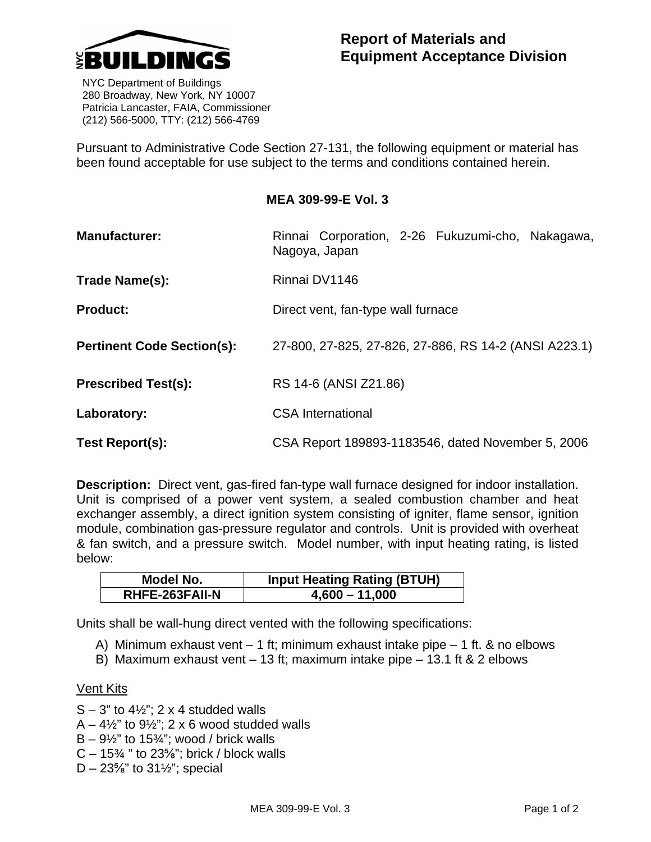

 NYC Department of Buildings 280 Broadway, New York, NY 10007 Patricia Lancaster, FAIA, Commissioner (212) 566-5000, TTY: (212) 566-4769

Pursuant to Administrative Code Section 27-131, the following equipment or material has been found acceptable for use subject to the terms and conditions contained herein.

## **MEA 309-99-E Vol. 3**

| <b>Manufacturer:</b>              | Rinnai Corporation, 2-26 Fukuzumi-cho, Nakagawa,<br>Nagoya, Japan |  |
|-----------------------------------|-------------------------------------------------------------------|--|
| Trade Name(s):                    | Rinnai DV1146                                                     |  |
| <b>Product:</b>                   | Direct vent, fan-type wall furnace                                |  |
| <b>Pertinent Code Section(s):</b> | 27-800, 27-825, 27-826, 27-886, RS 14-2 (ANSI A223.1)             |  |
| <b>Prescribed Test(s):</b>        | RS 14-6 (ANSI Z21.86)                                             |  |
| Laboratory:                       | <b>CSA International</b>                                          |  |
| Test Report(s):                   | CSA Report 189893-1183546, dated November 5, 2006                 |  |

**Description:** Direct vent, gas-fired fan-type wall furnace designed for indoor installation. Unit is comprised of a power vent system, a sealed combustion chamber and heat exchanger assembly, a direct ignition system consisting of igniter, flame sensor, ignition module, combination gas-pressure regulator and controls. Unit is provided with overheat & fan switch, and a pressure switch. Model number, with input heating rating, is listed below:

| Model No.             | <b>Input Heating Rating (BTUH)</b> |
|-----------------------|------------------------------------|
| <b>RHFE-263FAII-N</b> | $4,600 - 11,000$                   |

Units shall be wall-hung direct vented with the following specifications:

- A) Minimum exhaust vent 1 ft; minimum exhaust intake pipe 1 ft. & no elbows
- B) Maximum exhaust vent 13 ft; maximum intake pipe 13.1 ft & 2 elbows

## **Vent Kits**

- $S 3$ " to  $4\frac{1}{2}$ "; 2 x 4 studded walls
- $A 4\frac{1}{2}$ " to  $9\frac{1}{2}$ "; 2 x 6 wood studded walls
- $B 9\frac{1}{2}$ " to 15 $\frac{3}{4}$ "; wood / brick walls
- $C 15\%$  " to 23%"; brick / block walls
- $D 23\frac{5}{8}$ " to  $31\frac{1}{2}$ "; special